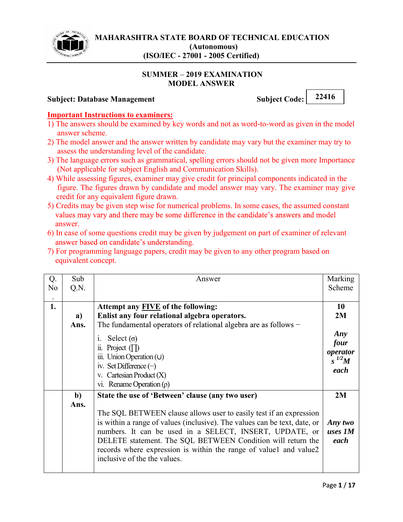

#### **SUMMER 2019 EXAMINATION MODEL ANSWER**

# **Subject: Database Management** Subject Code: 22416

### **Important Instructions to examiners:**

- 1) The answers should be examined by key words and not as word-to-word as given in the model answer scheme.
- 2) The model answer and the answer written by candidate may vary but the examiner may try to assess the understanding level of the candidate.
- 3) The language errors such as grammatical, spelling errors should not be given more Importance (Not applicable for subject English and Communication Skills).
- 4) While assessing figures, examiner may give credit for principal components indicated in the figure. The figures drawn by candidate and model answer may vary. The examiner may give credit for any equivalent figure drawn.
- 5) Credits may be given step wise for numerical problems. In some cases, the assumed constant values may vary and there may be some difference in the candidate's answers and model answer.
- 6) In case of some questions credit may be given by judgement on part of examiner of relevant answer based on candidate's understanding.
- 7) For programming language papers, credit may be given to any other program based on equivalent concept.

| Q.             | Sub          | Answer                                                                    | Marking    |
|----------------|--------------|---------------------------------------------------------------------------|------------|
| N <sub>o</sub> | Q.N.         |                                                                           | Scheme     |
|                |              |                                                                           |            |
| 1.             |              | Attempt any <b>FIVE</b> of the following:                                 | 10         |
|                | a)           | Enlist any four relational algebra operators.                             | 2M         |
|                | Ans.         | The fundamental operators of relational algebra are as follows $-$        |            |
|                |              |                                                                           | Any        |
|                |              | Select $(\sigma)$<br>$\mathbf{1}$ .                                       | four       |
|                |              | ii. Project $(\Box)$<br>iii. Union Operation (U)                          | operator   |
|                |              | iv. Set Difference $(-)$                                                  | $s^{1/2}M$ |
|                |              | v. Cartesian Product $(X)$                                                | each       |
|                |              | vi. Rename Operation $(\rho)$                                             |            |
|                |              |                                                                           |            |
|                | $\mathbf{b}$ | State the use of 'Between' clause (any two user)                          | 2M         |
|                | Ans.         |                                                                           |            |
|                |              | The SQL BETWEEN clause allows user to easily test if an expression        |            |
|                |              | is within a range of values (inclusive). The values can be text, date, or | Any two    |
|                |              | numbers. It can be used in a SELECT, INSERT, UPDATE, or                   | uses 1M    |
|                |              | DELETE statement. The SQL BETWEEN Condition will return the               | each       |
|                |              | records where expression is within the range of valuel and value2         |            |
|                |              | inclusive of the the values.                                              |            |
|                |              |                                                                           |            |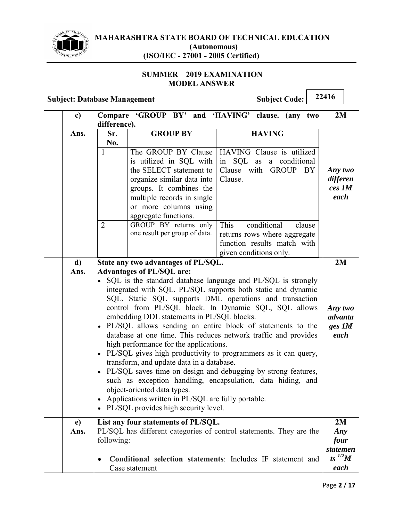

#### **SUMMER 2019 EXAMINATION MODEL ANSWER**

# **Subject: Database Management** Subject Code: 22416

Case statement

| c)         | difference).                                                                                                                                                                                                                                                                                                                                                                                                                                                                                                                                                                                                                                                                                                                                                                                                                                                                                                                                          | Compare 'GROUP BY' and 'HAVING' clause.                                                                                                                                                                                                                                                        | (any two                                                                                                                                                                        | 2M                                             |
|------------|-------------------------------------------------------------------------------------------------------------------------------------------------------------------------------------------------------------------------------------------------------------------------------------------------------------------------------------------------------------------------------------------------------------------------------------------------------------------------------------------------------------------------------------------------------------------------------------------------------------------------------------------------------------------------------------------------------------------------------------------------------------------------------------------------------------------------------------------------------------------------------------------------------------------------------------------------------|------------------------------------------------------------------------------------------------------------------------------------------------------------------------------------------------------------------------------------------------------------------------------------------------|---------------------------------------------------------------------------------------------------------------------------------------------------------------------------------|------------------------------------------------|
| Ans.       | Sr.<br>No.<br>$\mathbf{1}$<br>$\overline{2}$                                                                                                                                                                                                                                                                                                                                                                                                                                                                                                                                                                                                                                                                                                                                                                                                                                                                                                          | <b>GROUP BY</b><br>The GROUP BY Clause<br>is utilized in SQL with<br>the SELECT statement to<br>organize similar data into<br>groups. It combines the<br>multiple records in single<br>or more columns using<br>aggregate functions.<br>GROUP BY returns only<br>one result per group of data. | <b>HAVING</b><br>HAVING Clause is utilized<br>a conditional<br>SQL as<br>in<br>Clause with GROUP BY<br>Clause.<br>This<br>conditional<br>clause<br>returns rows where aggregate | Any two<br>differen<br>ces 1M<br>each          |
|            |                                                                                                                                                                                                                                                                                                                                                                                                                                                                                                                                                                                                                                                                                                                                                                                                                                                                                                                                                       |                                                                                                                                                                                                                                                                                                | function results match with<br>given conditions only.                                                                                                                           |                                                |
| d)<br>Ans. | State any two advantages of PL/SQL.<br><b>Advantages of PL/SQL are:</b><br>• SQL is the standard database language and PL/SQL is strongly<br>integrated with SQL. PL/SQL supports both static and dynamic<br>SQL. Static SQL supports DML operations and transaction<br>control from PL/SQL block. In Dynamic SQL, SQL allows<br>embedding DDL statements in PL/SQL blocks.<br>· PL/SQL allows sending an entire block of statements to the<br>database at one time. This reduces network traffic and provides<br>high performance for the applications.<br>• PL/SQL gives high productivity to programmers as it can query,<br>transform, and update data in a database.<br>PL/SQL saves time on design and debugging by strong features,<br>$\bullet$<br>such as exception handling, encapsulation, data hiding, and<br>object-oriented data types.<br>Applications written in PL/SQL are fully portable.<br>• PL/SQL provides high security level. |                                                                                                                                                                                                                                                                                                | 2M<br>Any two<br>advanta<br>$ges\,IM$<br>each                                                                                                                                   |                                                |
| e)<br>Ans. | following:                                                                                                                                                                                                                                                                                                                                                                                                                                                                                                                                                                                                                                                                                                                                                                                                                                                                                                                                            | List any four statements of PL/SQL.                                                                                                                                                                                                                                                            | PL/SQL has different categories of control statements. They are the<br>Conditional selection statements: Includes IF statement and                                              | 2M<br>Any<br>four<br>statemen<br>ts $^{1/2}$ M |

*each*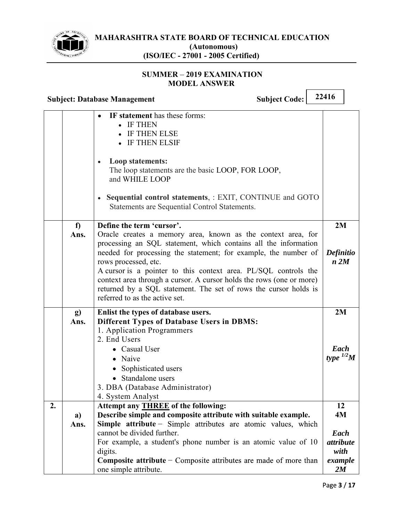

### **SUMMER 2019 EXAMINATION MODEL ANSWER**

|    |            | <b>Subject Code:</b><br><b>Subject: Database Management</b>                                                                                                                                                                                                                                                                                                                                                                                                                                              | 22416                                                  |
|----|------------|----------------------------------------------------------------------------------------------------------------------------------------------------------------------------------------------------------------------------------------------------------------------------------------------------------------------------------------------------------------------------------------------------------------------------------------------------------------------------------------------------------|--------------------------------------------------------|
|    |            | IF statement has these forms:<br>• IF THEN<br><b>IF THEN ELSE</b><br>IF THEN ELSIF<br>Loop statements:<br>The loop statements are the basic LOOP, FOR LOOP,<br>and WHILE LOOP<br>• Sequential control statements, : EXIT, CONTINUE and GOTO<br>Statements are Sequential Control Statements.                                                                                                                                                                                                             |                                                        |
|    | f<br>Ans.  | Define the term 'cursor'.<br>Oracle creates a memory area, known as the context area, for<br>processing an SQL statement, which contains all the information<br>needed for processing the statement; for example, the number of<br>rows processed, etc.<br>A cursor is a pointer to this context area. PL/SQL controls the<br>context area through a cursor. A cursor holds the rows (one or more)<br>returned by a SQL statement. The set of rows the cursor holds is<br>referred to as the active set. | 2M<br>Definitio<br>n 2M                                |
|    | g)<br>Ans. | Enlist the types of database users.<br><b>Different Types of Database Users in DBMS:</b><br>1. Application Programmers<br>2. End Users<br>• Casual User<br>• Naive<br>Sophisticated users<br>Standalone users<br>3. DBA (Database Administrator)<br>4. System Analyst                                                                                                                                                                                                                                    | 2M<br>Each<br>type $^{1/2}$ M                          |
| 2. | a)<br>Ans. | Attempt any <b>THREE</b> of the following:<br>Describe simple and composite attribute with suitable example.<br>Simple attribute - Simple attributes are atomic values, which<br>cannot be divided further.<br>For example, a student's phone number is an atomic value of 10<br>digits.<br><b>Composite attribute – Composite attributes are made of more than</b><br>one simple attribute.                                                                                                             | 12<br>4M<br>Each<br>attribute<br>with<br>example<br>2M |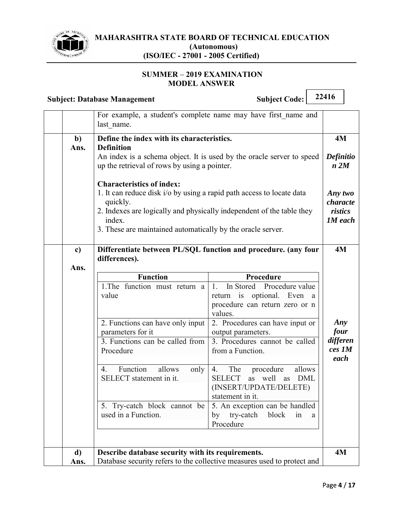

#### **SUMMER 2019 EXAMINATION MODEL ANSWER**

|                      | <b>Subject: Database Management</b>                                                                                                                                                                                                                                            | <b>Subject Code:</b>                                                                                                                                                                                                                                                                                                                                                                                       | 22416                                            |
|----------------------|--------------------------------------------------------------------------------------------------------------------------------------------------------------------------------------------------------------------------------------------------------------------------------|------------------------------------------------------------------------------------------------------------------------------------------------------------------------------------------------------------------------------------------------------------------------------------------------------------------------------------------------------------------------------------------------------------|--------------------------------------------------|
|                      | For example, a student's complete name may have first name and<br>last name.                                                                                                                                                                                                   |                                                                                                                                                                                                                                                                                                                                                                                                            |                                                  |
| $\mathbf{b}$<br>Ans. | Define the index with its characteristics.<br><b>Definition</b>                                                                                                                                                                                                                | An index is a schema object. It is used by the oracle server to speed                                                                                                                                                                                                                                                                                                                                      | <b>4M</b><br><b>Definitio</b>                    |
|                      | up the retrieval of rows by using a pointer.                                                                                                                                                                                                                                   |                                                                                                                                                                                                                                                                                                                                                                                                            | n 2M                                             |
|                      | <b>Characteristics of index:</b><br>1. It can reduce disk i/o by using a rapid path access to locate data<br>quickly.<br>2. Indexes are logically and physically independent of the table they<br>index.<br>3. These are maintained automatically by the oracle server.        |                                                                                                                                                                                                                                                                                                                                                                                                            | Any two<br>characte<br>ristics<br><b>1M</b> each |
| c)                   |                                                                                                                                                                                                                                                                                | Differentiate between PL/SQL function and procedure. (any four                                                                                                                                                                                                                                                                                                                                             | 4M                                               |
| Ans.                 | differences).                                                                                                                                                                                                                                                                  |                                                                                                                                                                                                                                                                                                                                                                                                            |                                                  |
|                      | <b>Function</b><br>1.The function must return a<br>value<br>2. Functions can have only input<br>parameters for it<br>3. Functions can be called from<br>Procedure<br>Function<br>allows<br>only<br>$\overline{4}$ .<br>SELECT statement in it.<br>5. Try-catch block cannot be | Procedure<br>1.<br>In Stored Procedure value<br>return is optional. Even a<br>procedure can return zero or n<br>values.<br>2. Procedures can have input or<br>output parameters.<br>3. Procedures cannot be called<br>from a Function.<br>The procedure<br>allows<br>4.<br><b>SELECT</b><br>well<br><b>DML</b><br>as<br>as<br>(INSERT/UPDATE/DELETE)<br>statement in it.<br>5. An exception can be handled | Any<br>four<br>differen<br>ces 1M<br>each        |
|                      | used in a Function.                                                                                                                                                                                                                                                            | try-catch<br>block<br>in<br>by<br>a<br>Procedure                                                                                                                                                                                                                                                                                                                                                           |                                                  |
| d)<br>Ans.           | Describe database security with its requirements.                                                                                                                                                                                                                              | Database security refers to the collective measures used to protect and                                                                                                                                                                                                                                                                                                                                    | 4M                                               |
|                      |                                                                                                                                                                                                                                                                                |                                                                                                                                                                                                                                                                                                                                                                                                            |                                                  |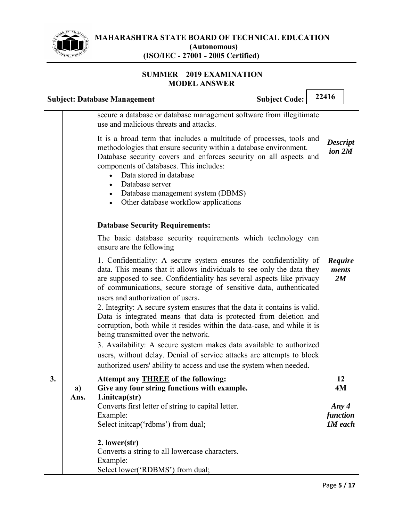

#### **SUMMER 2019 EXAMINATION MODEL ANSWER**

|    |            | <b>Subject Code:</b><br><b>Subject: Database Management</b>                                                                                                                                                                                                                                                                                                                                                                                                                                                                                                                                                                                                                                                                                                                                                                | 22416                                 |
|----|------------|----------------------------------------------------------------------------------------------------------------------------------------------------------------------------------------------------------------------------------------------------------------------------------------------------------------------------------------------------------------------------------------------------------------------------------------------------------------------------------------------------------------------------------------------------------------------------------------------------------------------------------------------------------------------------------------------------------------------------------------------------------------------------------------------------------------------------|---------------------------------------|
|    |            | secure a database or database management software from illegitimate<br>use and malicious threats and attacks.                                                                                                                                                                                                                                                                                                                                                                                                                                                                                                                                                                                                                                                                                                              |                                       |
|    |            | It is a broad term that includes a multitude of processes, tools and<br>methodologies that ensure security within a database environment.<br>Database security covers and enforces security on all aspects and<br>components of databases. This includes:<br>Data stored in database<br>$\bullet$<br>Database server<br>Database management system (DBMS)<br>Other database workflow applications                                                                                                                                                                                                                                                                                                                                                                                                                          | <b>Descript</b><br>ion 2M             |
|    |            | <b>Database Security Requirements:</b>                                                                                                                                                                                                                                                                                                                                                                                                                                                                                                                                                                                                                                                                                                                                                                                     |                                       |
|    |            | The basic database security requirements which technology can<br>ensure are the following                                                                                                                                                                                                                                                                                                                                                                                                                                                                                                                                                                                                                                                                                                                                  |                                       |
|    |            | 1. Confidentiality: A secure system ensures the confidentiality of<br>data. This means that it allows individuals to see only the data they<br>are supposed to see. Confidentiality has several aspects like privacy<br>of communications, secure storage of sensitive data, authenticated<br>users and authorization of users.<br>2. Integrity: A secure system ensures that the data it contains is valid.<br>Data is integrated means that data is protected from deletion and<br>corruption, both while it resides within the data-case, and while it is<br>being transmitted over the network.<br>3. Availability: A secure system makes data available to authorized<br>users, without delay. Denial of service attacks are attempts to block<br>authorized users' ability to access and use the system when needed. | Require<br>ments<br>2M                |
| 3. |            | Attempt any <b>THREE</b> of the following:                                                                                                                                                                                                                                                                                                                                                                                                                                                                                                                                                                                                                                                                                                                                                                                 | 12<br>4M                              |
|    | a)<br>Ans. | Give any four string functions with example.<br>1.initcap(str)                                                                                                                                                                                                                                                                                                                                                                                                                                                                                                                                                                                                                                                                                                                                                             |                                       |
|    |            | Converts first letter of string to capital letter.<br>Example:<br>Select initcap('rdbms') from dual;                                                                                                                                                                                                                                                                                                                                                                                                                                                                                                                                                                                                                                                                                                                       | Any $4$<br>function<br><b>1M</b> each |
|    |            | 2. lower(str)<br>Converts a string to all lowercase characters.<br>Example:<br>Select lower('RDBMS') from dual;                                                                                                                                                                                                                                                                                                                                                                                                                                                                                                                                                                                                                                                                                                            |                                       |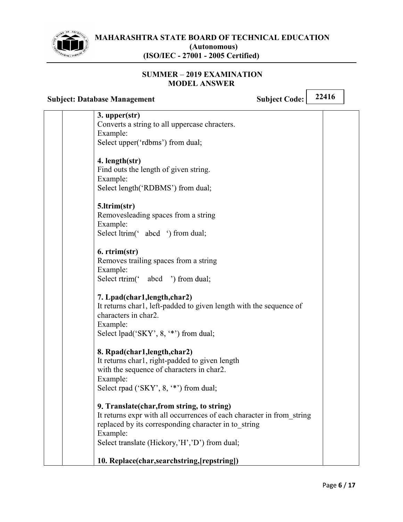

#### **SUMMER 2019 EXAMINATION MODEL ANSWER**

| <b>Subject: Database Management</b>                                                                                                                                                                                                       | 22416<br><b>Subject Code:</b> |
|-------------------------------------------------------------------------------------------------------------------------------------------------------------------------------------------------------------------------------------------|-------------------------------|
| 3. upper(str)<br>Converts a string to all uppercase chracters.<br>Example:<br>Select upper('rdbms') from dual;                                                                                                                            |                               |
| 4. length(str)<br>Find outs the length of given string.<br>Example:<br>Select length('RDBMS') from dual;                                                                                                                                  |                               |
| 5.ltrim(str)<br>Removesleading spaces from a string<br>Example:<br>Select ltrim('abcd ') from dual;                                                                                                                                       |                               |
| 6. rtrim(str)<br>Removes trailing spaces from a string<br>Example:<br>Select rtrim(' abcd ') from dual;                                                                                                                                   |                               |
| 7. Lpad(char1, length, char2)<br>It returns char1, left-padded to given length with the sequence of<br>characters in char2.<br>Example:<br>Select lpad('SKY', 8, '*') from dual;                                                          |                               |
| 8. Rpad(char1, length, char2)<br>It returns char1, right-padded to given length<br>with the sequence of characters in char2.<br>Example:<br>Select rpad ('SKY', 8, '*') from dual;                                                        |                               |
| 9. Translate (char, from string, to string)<br>It returns expr with all occurrences of each character in from string<br>replaced by its corresponding character in to_string<br>Example:<br>Select translate (Hickory,'H','D') from dual; |                               |
| 10. Replace(char,searchstring, [repstring])                                                                                                                                                                                               |                               |

 $\overline{\phantom{a}}$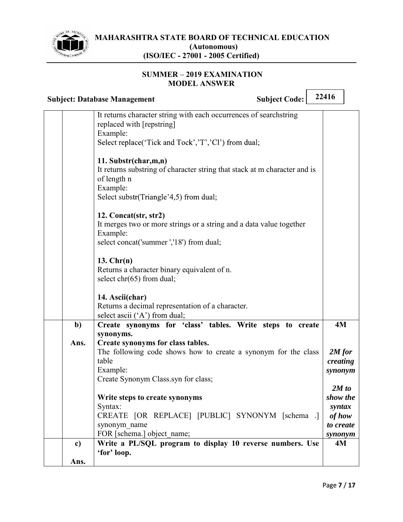

#### **SUMMER 2019 EXAMINATION MODEL ANSWER**

|               | <b>Subject Code:</b><br><b>Subject: Database Management</b>                                                                                                            | 22416                                                         |
|---------------|------------------------------------------------------------------------------------------------------------------------------------------------------------------------|---------------------------------------------------------------|
|               | It returns character string with each occurrences of searchstring<br>replaced with [repstring]<br>Example:<br>Select replace('Tick and Tock','T','Cl') from dual;      |                                                               |
|               | 11. Substr(char,m,n)<br>It returns substring of character string that stack at m character and is<br>of length n<br>Example:<br>Select substr(Triangle'4,5) from dual; |                                                               |
|               | 12. Concat(str, str2)<br>It merges two or more strings or a string and a data value together<br>Example:<br>select concat('summer ','18') from dual;                   |                                                               |
|               | $13.$ Chr $(n)$<br>Returns a character binary equivalent of n.<br>select $chr(65)$ from dual;                                                                          |                                                               |
|               | 14. Ascii(char)<br>Returns a decimal representation of a character.<br>select ascii ('A') from dual;                                                                   |                                                               |
| $\mathbf{b}$  | Create synonyms for 'class' tables. Write steps to create                                                                                                              | 4M                                                            |
| Ans.          | synonyms.<br>Create synonyms for class tables.<br>The following code shows how to create a synonym for the class<br>table<br>Example:                                  | $2M$ for<br>creating<br>synonym                               |
|               | Create Synonym Class.syn for class;                                                                                                                                    |                                                               |
|               | Write steps to create synonyms<br>Syntax:<br>CREATE [OR REPLACE] [PUBLIC] SYNONYM [schema .]<br>synonym name<br>FOR [schema.] object name;                             | 2M to<br>show the<br>syntax<br>of how<br>to create<br>synonym |
| $\mathbf{c})$ | Write a PL/SQL program to display 10 reverse numbers. Use<br>'for' loop.                                                                                               | 4M                                                            |
| Ans.          |                                                                                                                                                                        |                                                               |

 $\overline{\phantom{a}}$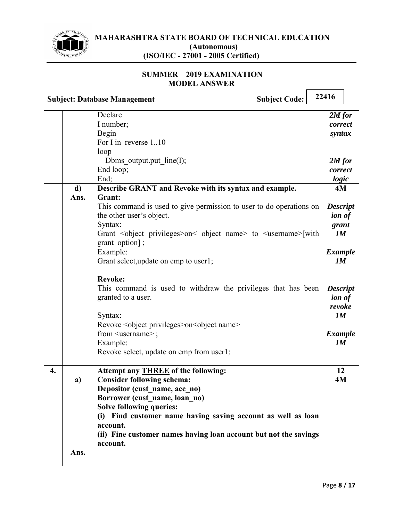

#### **SUMMER 2019 EXAMINATION MODEL ANSWER**

**Subject: Database Management** Subject Code: 22416

|                  |      | Declare                                                                                   | $2M$ for        |
|------------------|------|-------------------------------------------------------------------------------------------|-----------------|
|                  |      | I number;                                                                                 | correct         |
|                  |      | Begin                                                                                     | syntax          |
|                  |      | For I in reverse 110                                                                      |                 |
|                  |      | loop                                                                                      |                 |
|                  |      | Dbms output.put $line(I);$                                                                | $2M$ for        |
|                  |      | End loop;                                                                                 | correct         |
|                  |      | End;                                                                                      | logic           |
|                  | d)   | Describe GRANT and Revoke with its syntax and example.                                    | 4M              |
|                  | Ans. | Grant:                                                                                    |                 |
|                  |      | This command is used to give permission to user to do operations on                       | <b>Descript</b> |
|                  |      | the other user's object.                                                                  | <i>ion of</i>   |
|                  |      | Syntax:                                                                                   | grant           |
|                  |      | Grant <object privileges="">on&lt; object name&gt; to <username>[with</username></object> | 1M              |
|                  |      | grant option];                                                                            |                 |
|                  |      | Example:                                                                                  | <b>Example</b>  |
|                  |      | Grant select, update on emp to user1;                                                     | 1M              |
|                  |      |                                                                                           |                 |
|                  |      | <b>Revoke:</b>                                                                            |                 |
|                  |      | This command is used to withdraw the privileges that has been                             | <b>Descript</b> |
|                  |      | granted to a user.                                                                        | <i>ion of</i>   |
|                  |      |                                                                                           | revoke          |
|                  |      | Syntax:                                                                                   | 1M              |
|                  |      | Revoke < object privileges > on < object name >                                           |                 |
|                  |      | from <username>;</username>                                                               | <b>Example</b>  |
|                  |      | Example:                                                                                  | 1M              |
|                  |      | Revoke select, update on emp from user1;                                                  |                 |
|                  |      |                                                                                           |                 |
| $\overline{4}$ . |      | Attempt any <b>THREE</b> of the following:                                                | 12              |
|                  | a)   | <b>Consider following schema:</b>                                                         | 4M              |
|                  |      | Depositor (cust name, acc no)                                                             |                 |
|                  |      | Borrower (cust name, loan no)                                                             |                 |
|                  |      | <b>Solve following queries:</b>                                                           |                 |
|                  |      | (i) Find customer name having saving account as well as loan                              |                 |
|                  |      | account.                                                                                  |                 |
|                  |      | (ii) Fine customer names having loan account but not the savings                          |                 |
|                  |      | account.                                                                                  |                 |
|                  | Ans. |                                                                                           |                 |
|                  |      |                                                                                           |                 |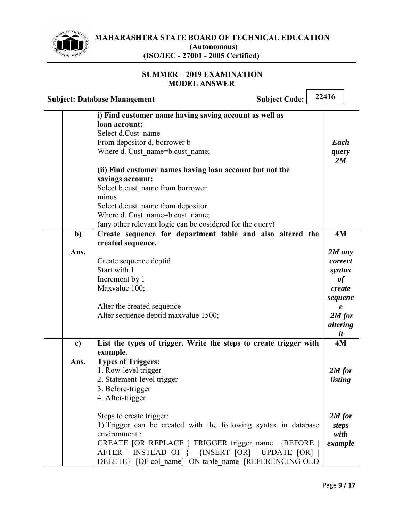

#### **SUMMER 2019 EXAMINATION MODEL ANSWER**

| <b>Subject Code:</b><br><b>Subject: Database Management</b>                                                                                                                                                                                                                                                                                                                                                                        | 22416                                                                                                            |
|------------------------------------------------------------------------------------------------------------------------------------------------------------------------------------------------------------------------------------------------------------------------------------------------------------------------------------------------------------------------------------------------------------------------------------|------------------------------------------------------------------------------------------------------------------|
| i) Find customer name having saving account as well as<br>loan account:<br>Select d.Cust name<br>From depositor d, borrower b<br>Where d. Cust name=b.cust name;<br>(ii) Find customer names having loan account but not the<br>savings account:<br>Select b.cust name from borrower<br>minus<br>Select d.cust name from depositor<br>Where d. Cust name=b.cust name;<br>(any other relevant logic can be cosidered for the query) | Each<br>query<br>2M                                                                                              |
| Create sequence for department table and also altered the<br>b)<br>created sequence.<br>Ans.<br>Create sequence deptid<br>Start with 1<br>Increment by 1<br>Maxvalue 100;<br>Alter the created sequence<br>Alter sequence deptid maxvalue 1500;                                                                                                                                                                                    | 4M<br>$2M$ any<br>correct<br>syntax<br>of<br>create<br>sequenc<br>$\boldsymbol{e}$<br>$2M$ for<br>altering<br>it |
| List the types of trigger. Write the steps to create trigger with<br>c)<br>example.<br><b>Types of Triggers:</b><br>Ans.<br>1. Row-level trigger<br>2. Statement-level trigger<br>3. Before-trigger<br>4. After-trigger<br>Steps to create trigger:                                                                                                                                                                                | 4M<br>$2M$ for<br>listing<br>$2M$ for                                                                            |
| 1) Trigger can be created with the following syntax in database<br>environment :<br>CREATE [OR REPLACE ] TRIGGER trigger name {BEFORE<br>AFTER   INSTEAD OF } {INSERT [OR]   UPDATE [OR]<br>DELETE} [OF col name] ON table name [REFERENCING OLD                                                                                                                                                                                   | <b>steps</b><br>with<br>example                                                                                  |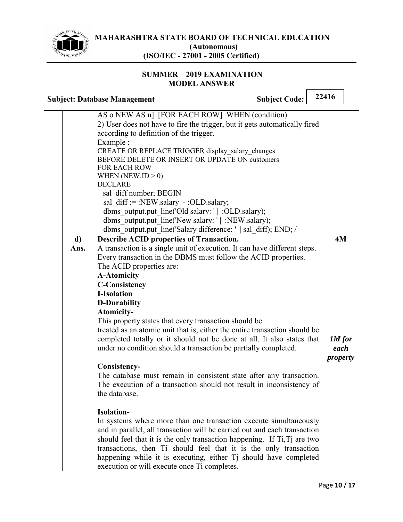

 $\overline{\phantom{0}}$ 

٦

### **SUMMER - 2019 EXAMINATION MODEL ANSWER**

|            | <b>Subject Code:</b><br><b>Subject: Database Management</b>                                                                                                                                                                                                                                                                                                                                                                                                                                                                                                                                                                                                                                  | 22416                      |
|------------|----------------------------------------------------------------------------------------------------------------------------------------------------------------------------------------------------------------------------------------------------------------------------------------------------------------------------------------------------------------------------------------------------------------------------------------------------------------------------------------------------------------------------------------------------------------------------------------------------------------------------------------------------------------------------------------------|----------------------------|
|            | AS o NEW AS n] [FOR EACH ROW] WHEN (condition)<br>2) User does not have to fire the trigger, but it gets automatically fired<br>according to definition of the trigger.<br>Example:<br>CREATE OR REPLACE TRIGGER display salary changes<br>BEFORE DELETE OR INSERT OR UPDATE ON customers<br>FOR EACH ROW<br>WHEN (NEW.ID $> 0$ )<br><b>DECLARE</b><br>sal diff number; BEGIN<br>sal diff:=:NEW.salary -:OLD.salary;<br>dbms output.put line('Old salary: '    :OLD.salary);<br>dbms output.put line('New salary: '    :NEW salary);<br>dbms_output.put_line('Salary difference: '    sal_diff); END; /                                                                                      |                            |
| d)<br>Ans. | <b>Describe ACID properties of Transaction.</b><br>A transaction is a single unit of execution. It can have different steps.                                                                                                                                                                                                                                                                                                                                                                                                                                                                                                                                                                 | 4M                         |
|            | Every transaction in the DBMS must follow the ACID properties.<br>The ACID properties are:<br><b>A-Atomicity</b><br><b>C-Consistency</b><br><b>I-Isolation</b><br><b>D-Durability</b><br>Atomicity-<br>This property states that every transaction should be<br>treated as an atomic unit that is, either the entire transaction should be<br>completed totally or it should not be done at all. It also states that<br>under no condition should a transaction be partially completed.<br>Consistency-<br>The database must remain in consistent state after any transaction.<br>The execution of a transaction should not result in inconsistency of<br>the database.<br><b>Isolation-</b> | 1M for<br>each<br>property |
|            | In systems where more than one transaction execute simultaneously<br>and in parallel, all transaction will be carried out and each transaction<br>should feel that it is the only transaction happening. If Ti, Tj are two<br>transactions, then Ti should feel that it is the only transaction<br>happening while it is executing, either Tj should have completed<br>execution or will execute once Ti completes.                                                                                                                                                                                                                                                                          |                            |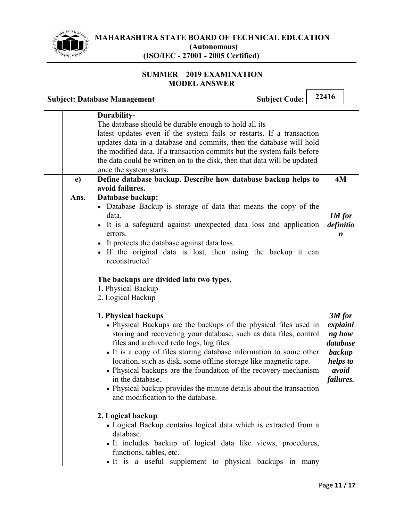

# **SUMMER - 2019 EXAMINATION MODEL ANSWER**

# **Subject: Database Management** Subject Code: 22416

|      | Durability-                                                              |                  |
|------|--------------------------------------------------------------------------|------------------|
|      | The database should be durable enough to hold all its                    |                  |
|      | latest updates even if the system fails or restarts. If a transaction    |                  |
|      | updates data in a database and commits, then the database will hold      |                  |
|      | the modified data. If a transaction commits but the system fails before  |                  |
|      | the data could be written on to the disk, then that data will be updated |                  |
|      | once the system starts.                                                  |                  |
| e)   | Define database backup. Describe how database backup helps to            | 4M               |
|      | avoid failures.                                                          |                  |
| Ans. | Database backup:                                                         |                  |
|      | • Database Backup is storage of data that means the copy of the          |                  |
|      | data.                                                                    | 1M for           |
|      | • It is a safeguard against unexpected data loss and application         | definitio        |
|      | errors.                                                                  | $\boldsymbol{n}$ |
|      | • It protects the database against data loss.                            |                  |
|      | • If the original data is lost, then using the backup it can             |                  |
|      | reconstructed                                                            |                  |
|      |                                                                          |                  |
|      | The backups are divided into two types,                                  |                  |
|      | 1. Physical Backup                                                       |                  |
|      | 2. Logical Backup                                                        |                  |
|      |                                                                          |                  |
|      | 1. Physical backups                                                      | $3M$ for         |
|      | • Physical Backups are the backups of the physical files used in         | explaini         |
|      | storing and recovering your database, such as data files, control        | ng how           |
|      | files and archived redo logs, log files.                                 | database         |
|      | • It is a copy of files storing database information to some other       | backup           |
|      | location, such as disk, some offline storage like magnetic tape.         | helps to         |
|      | • Physical backups are the foundation of the recovery mechanism          | avoid            |
|      | in the database.                                                         | failures.        |
|      | • Physical backup provides the minute details about the transaction      |                  |
|      | and modification to the database.                                        |                  |
|      |                                                                          |                  |
|      | 2. Logical backup                                                        |                  |
|      | • Logical Backup contains logical data which is extracted from a         |                  |
|      | database.                                                                |                  |
|      | • It includes backup of logical data like views, procedures,             |                  |
|      | functions, tables, etc.                                                  |                  |
|      | · It is a useful supplement to physical backups in many                  |                  |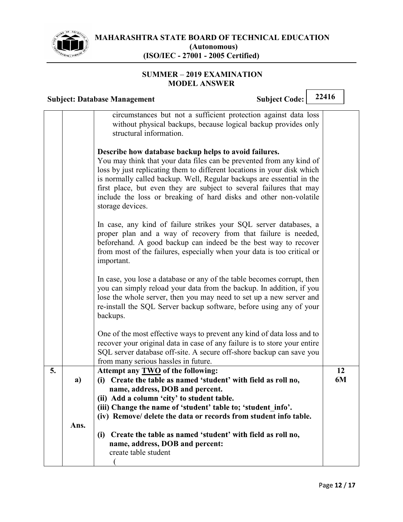

#### **SUMMER 2019 EXAMINATION MODEL ANSWER**

|    |            | <b>Subject Code:</b><br><b>Subject: Database Management</b>                                                                                                                                                                                                                                                                                                                                                                                       | 22416    |  |
|----|------------|---------------------------------------------------------------------------------------------------------------------------------------------------------------------------------------------------------------------------------------------------------------------------------------------------------------------------------------------------------------------------------------------------------------------------------------------------|----------|--|
|    |            | circumstances but not a sufficient protection against data loss<br>without physical backups, because logical backup provides only<br>structural information.                                                                                                                                                                                                                                                                                      |          |  |
|    |            | Describe how database backup helps to avoid failures.<br>You may think that your data files can be prevented from any kind of<br>loss by just replicating them to different locations in your disk which<br>is normally called backup. Well, Regular backups are essential in the<br>first place, but even they are subject to several failures that may<br>include the loss or breaking of hard disks and other non-volatile<br>storage devices. |          |  |
|    |            | In case, any kind of failure strikes your SQL server databases, a<br>proper plan and a way of recovery from that failure is needed,<br>beforehand. A good backup can indeed be the best way to recover<br>from most of the failures, especially when your data is too critical or<br>important.                                                                                                                                                   |          |  |
|    |            | In case, you lose a database or any of the table becomes corrupt, then<br>you can simply reload your data from the backup. In addition, if you<br>lose the whole server, then you may need to set up a new server and<br>re-install the SQL Server backup software, before using any of your<br>backups.                                                                                                                                          |          |  |
|    |            | One of the most effective ways to prevent any kind of data loss and to<br>recover your original data in case of any failure is to store your entire<br>SQL server database off-site. A secure off-shore backup can save you<br>from many serious hassles in future.                                                                                                                                                                               |          |  |
| 5. | a)<br>Ans. | Attempt any TWO of the following:<br>(i) Create the table as named 'student' with field as roll no,<br>name, address, DOB and percent.<br>(ii) Add a column 'city' to student table.<br>(iii) Change the name of 'student' table to; 'student info'.<br>(iv) Remove/ delete the data or records from student info table.<br>Create the table as named 'student' with field as roll no,<br>(i)<br>name, address, DOB and percent:                  | 12<br>6M |  |
|    |            | create table student                                                                                                                                                                                                                                                                                                                                                                                                                              |          |  |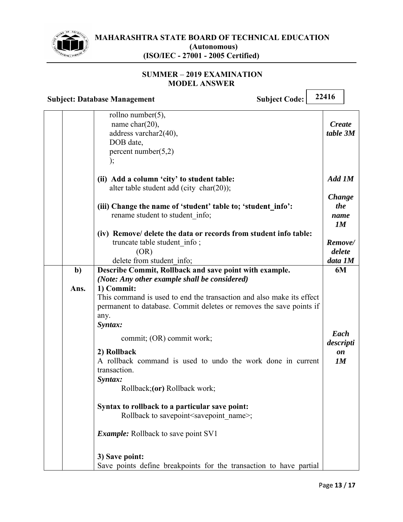

#### **SUMMER 2019 EXAMINATION MODEL ANSWER**

|            | <b>Subject Code:</b><br><b>Subject: Database Management</b>                                                                                                                                                                                                                             | 22416                              |
|------------|-----------------------------------------------------------------------------------------------------------------------------------------------------------------------------------------------------------------------------------------------------------------------------------------|------------------------------------|
|            | rollno number(5),<br>name char $(20)$ ,<br>address varchar2(40),<br>DOB date,<br>percent number $(5,2)$<br>);                                                                                                                                                                           | <b>Create</b><br>table 3M          |
|            | (ii) Add a column 'city' to student table:<br>alter table student add (city char(20));                                                                                                                                                                                                  | Add 1M                             |
|            | (iii) Change the name of 'student' table to; 'student info':<br>rename student to student info;                                                                                                                                                                                         | <b>Change</b><br>the<br>name<br>1M |
|            | (iv) Remove/ delete the data or records from student info table:<br>truncate table student info;<br>(OR)<br>delete from student info;                                                                                                                                                   | Remove/<br>delete<br>data 1M       |
| b)<br>Ans. | Describe Commit, Rollback and save point with example.<br>(Note: Any other example shall be considered)<br>1) Commit:<br>This command is used to end the transaction and also make its effect<br>permanent to database. Commit deletes or removes the save points if<br>any.<br>Syntax: | 6M                                 |
|            | commit; (OR) commit work;<br>2) Rollback<br>A rollback command is used to undo the work done in current<br>transaction.<br>Syntax:<br>Rollback; (or) Rollback work;                                                                                                                     | Each<br>descripti<br>on<br>1M      |
|            | Syntax to rollback to a particular save point:<br>Rollback to savepoint <savepoint name="">;</savepoint>                                                                                                                                                                                |                                    |
|            | <i>Example:</i> Rollback to save point SV1                                                                                                                                                                                                                                              |                                    |
|            | 3) Save point:<br>Save points define breakpoints for the transaction to have partial                                                                                                                                                                                                    |                                    |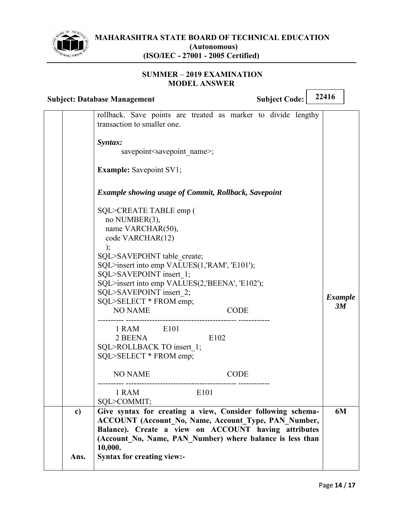

#### **SUMMER 2019 EXAMINATION MODEL ANSWER**

|                      | <b>Subject: Database Management</b>                                                                                                                                                                                                                                                                                                           | <b>Subject Code:</b> | 22416                |
|----------------------|-----------------------------------------------------------------------------------------------------------------------------------------------------------------------------------------------------------------------------------------------------------------------------------------------------------------------------------------------|----------------------|----------------------|
|                      | rollback. Save points are treated as marker to divide lengthy<br>transaction to smaller one.                                                                                                                                                                                                                                                  |                      |                      |
|                      | Syntax:<br>savepoint <savepoint name="">;</savepoint>                                                                                                                                                                                                                                                                                         |                      |                      |
|                      | <b>Example:</b> Savepoint SV1;                                                                                                                                                                                                                                                                                                                |                      |                      |
|                      | <b>Example showing usage of Commit, Rollback, Savepoint</b>                                                                                                                                                                                                                                                                                   |                      |                      |
|                      | SQL>CREATE TABLE emp (<br>no NUMBER(3),<br>name VARCHAR(50),<br>code VARCHAR(12)<br>$\cdot$<br>SQL>SAVEPOINT table create;<br>SQL>insert into emp VALUES(1,'RAM', 'E101');<br>SQL>SAVEPOINT insert 1;<br>SQL>insert into emp VALUES(2,'BEENA', 'E102');<br>SQL>SAVEPOINT insert 2;<br>SQL>SELECT * FROM emp;<br><b>NO NAME</b><br><b>CODE</b> |                      | <b>Example</b><br>3M |
|                      | 1 RAM E101<br>2 BEENA<br>E102<br>SQL>ROLLBACK TO insert 1;<br>SQL>SELECT * FROM emp;                                                                                                                                                                                                                                                          |                      |                      |
|                      | <b>NO NAME</b><br><b>CODE</b>                                                                                                                                                                                                                                                                                                                 |                      |                      |
|                      | 1 RAM<br>E101<br>SQL>COMMIT;                                                                                                                                                                                                                                                                                                                  |                      |                      |
| $\mathbf{c}$<br>Ans. | Give syntax for creating a view, Consider following schema-<br><b>ACCOUNT</b> (Account No, Name, Account Type, PAN Number,<br>Balance). Create a view on ACCOUNT having attributes<br>(Account No, Name, PAN Number) where balance is less than<br>10,000.<br><b>Syntax for creating view:-</b>                                               |                      | 6M                   |
|                      |                                                                                                                                                                                                                                                                                                                                               |                      |                      |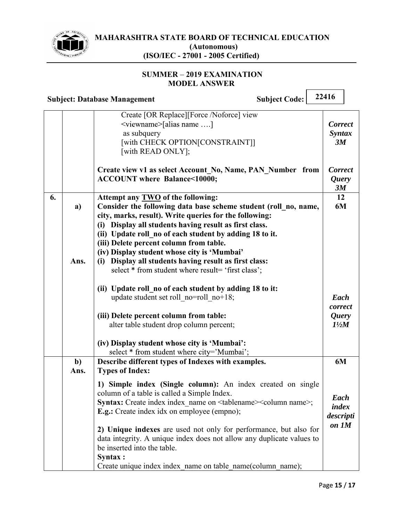

#### **SUMMER 2019 EXAMINATION MODEL ANSWER**

|    |             | <b>Subject Code:</b><br><b>Subject: Database Management</b>                                                                                                                                                                                                                                                                                                                                                                                                                                                           | 22416                                              |
|----|-------------|-----------------------------------------------------------------------------------------------------------------------------------------------------------------------------------------------------------------------------------------------------------------------------------------------------------------------------------------------------------------------------------------------------------------------------------------------------------------------------------------------------------------------|----------------------------------------------------|
|    |             | Create [OR Replace][Force /Noforce] view<br><viewname>[alias name ]<br/>as subquery<br/>[with CHECK OPTION[CONSTRAINT]]<br/>[with READ ONLY];</viewname>                                                                                                                                                                                                                                                                                                                                                              | <b>Correct</b><br><b>Syntax</b><br>3M              |
|    |             | Create view v1 as select Account No, Name, PAN Number from<br>ACCOUNT where Balance<10000;                                                                                                                                                                                                                                                                                                                                                                                                                            | <b>Correct</b><br><i><u><b>Query</b></u></i><br>3M |
| 6. | a)<br>Ans.  | Attempt any TWO of the following:<br>Consider the following data base scheme student (roll no, name,<br>city, marks, result). Write queries for the following:<br>(i) Display all students having result as first class.<br>(ii) Update roll no of each student by adding 18 to it.<br>(iii) Delete percent column from table.<br>(iv) Display student whose city is 'Mumbai'<br>(i) Display all students having result as first class:                                                                               | 12<br>6M                                           |
|    |             | select * from student where result= 'first class';<br>(ii) Update roll no of each student by adding 18 to it:<br>update student set roll no=roll no+18;<br>(iii) Delete percent column from table:<br>alter table student drop column percent;<br>(iv) Display student whose city is 'Mumbai':<br>select * from student where city='Mumbai';                                                                                                                                                                          | Each<br>correct<br><b>Query</b><br>$1\frac{1}{2}M$ |
|    | $b$<br>Ans. | Describe different types of Indexes with examples.<br><b>Types of Index:</b>                                                                                                                                                                                                                                                                                                                                                                                                                                          | 6M                                                 |
|    |             | 1) Simple index (Single column): An index created on single<br>column of a table is called a Simple Index.<br>Syntax: Create index index_name on <tablename><column name="">;<br/><b>E.g.:</b> Create index idx on employee (empno);<br/>2) Unique indexes are used not only for performance, but also for<br/>data integrity. A unique index does not allow any duplicate values to<br/>be inserted into the table.<br/>Syntax :<br/>Create unique index index name on table name(column name);</column></tablename> | Each<br>index<br>descripti<br>on 1M                |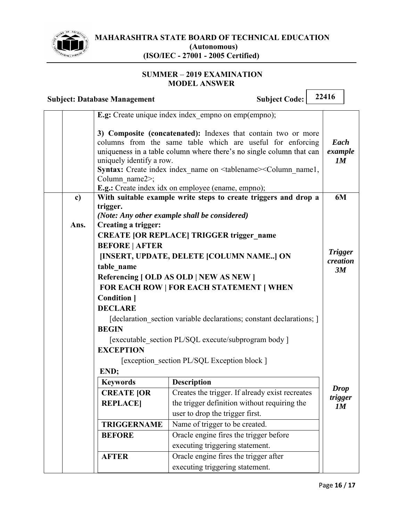

#### **SUMMER 2019 EXAMINATION MODEL ANSWER**

| 22416<br><b>Subject Code:</b><br><b>Subject: Database Management</b> |      |                                                       |                                                                                                                                                                                                                                                                                                                                                                 |                       |  |
|----------------------------------------------------------------------|------|-------------------------------------------------------|-----------------------------------------------------------------------------------------------------------------------------------------------------------------------------------------------------------------------------------------------------------------------------------------------------------------------------------------------------------------|-----------------------|--|
|                                                                      |      |                                                       | E.g: Create unique index index_empno on emp(empno);                                                                                                                                                                                                                                                                                                             |                       |  |
|                                                                      |      | uniquely identify a row.<br>Column name $2$ ;         | 3) Composite (concatenated): Indexes that contain two or more<br>columns from the same table which are useful for enforcing<br>uniqueness in a table column where there's no single column that can<br>Syntax: Create index index_name on <tablename><column_name1,<br><b>E.g.:</b> Create index idx on employee (ename, empno);</column_name1,<br></tablename> | Each<br>example<br>1M |  |
|                                                                      | c)   |                                                       | With suitable example write steps to create triggers and drop a                                                                                                                                                                                                                                                                                                 | 6M                    |  |
|                                                                      |      | trigger.                                              | (Note: Any other example shall be considered)                                                                                                                                                                                                                                                                                                                   |                       |  |
|                                                                      | Ans. | Creating a trigger:                                   |                                                                                                                                                                                                                                                                                                                                                                 |                       |  |
|                                                                      |      |                                                       | <b>CREATE [OR REPLACE] TRIGGER trigger name</b>                                                                                                                                                                                                                                                                                                                 |                       |  |
|                                                                      |      | <b>BEFORE   AFTER</b>                                 |                                                                                                                                                                                                                                                                                                                                                                 | <b>Trigger</b>        |  |
|                                                                      |      |                                                       | [INSERT, UPDATE, DELETE [COLUMN NAME] ON                                                                                                                                                                                                                                                                                                                        | creation              |  |
|                                                                      |      | table name<br>Referencing [ OLD AS OLD   NEW AS NEW ] |                                                                                                                                                                                                                                                                                                                                                                 |                       |  |
|                                                                      |      | FOR EACH ROW   FOR EACH STATEMENT   WHEN              |                                                                                                                                                                                                                                                                                                                                                                 |                       |  |
|                                                                      |      | <b>Condition</b> 1                                    |                                                                                                                                                                                                                                                                                                                                                                 |                       |  |
|                                                                      |      | <b>DECLARE</b>                                        |                                                                                                                                                                                                                                                                                                                                                                 |                       |  |
|                                                                      |      |                                                       | [declaration section variable declarations; constant declarations; ]                                                                                                                                                                                                                                                                                            |                       |  |
|                                                                      |      | <b>BEGIN</b>                                          |                                                                                                                                                                                                                                                                                                                                                                 |                       |  |
|                                                                      |      | [executable section PL/SQL execute/subprogram body]   |                                                                                                                                                                                                                                                                                                                                                                 |                       |  |
|                                                                      |      | <b>EXCEPTION</b>                                      |                                                                                                                                                                                                                                                                                                                                                                 |                       |  |
|                                                                      |      | [exception section PL/SQL Exception block]<br>END;    |                                                                                                                                                                                                                                                                                                                                                                 |                       |  |
|                                                                      |      | <b>Keywords</b>                                       | <b>Description</b>                                                                                                                                                                                                                                                                                                                                              |                       |  |
|                                                                      |      | <b>CREATE JOR</b>                                     | Creates the trigger. If already exist recreates                                                                                                                                                                                                                                                                                                                 | <b>Drop</b>           |  |
|                                                                      |      | <b>REPLACE</b>                                        | the trigger definition without requiring the                                                                                                                                                                                                                                                                                                                    | trigger<br>1M         |  |
|                                                                      |      |                                                       | user to drop the trigger first.                                                                                                                                                                                                                                                                                                                                 |                       |  |
|                                                                      |      | <b>TRIGGERNAME</b>                                    | Name of trigger to be created.                                                                                                                                                                                                                                                                                                                                  |                       |  |
|                                                                      |      | <b>BEFORE</b>                                         | Oracle engine fires the trigger before                                                                                                                                                                                                                                                                                                                          |                       |  |
|                                                                      |      |                                                       | executing triggering statement.                                                                                                                                                                                                                                                                                                                                 |                       |  |
|                                                                      |      | <b>AFTER</b>                                          | Oracle engine fires the trigger after                                                                                                                                                                                                                                                                                                                           |                       |  |
|                                                                      |      |                                                       | executing triggering statement.                                                                                                                                                                                                                                                                                                                                 |                       |  |